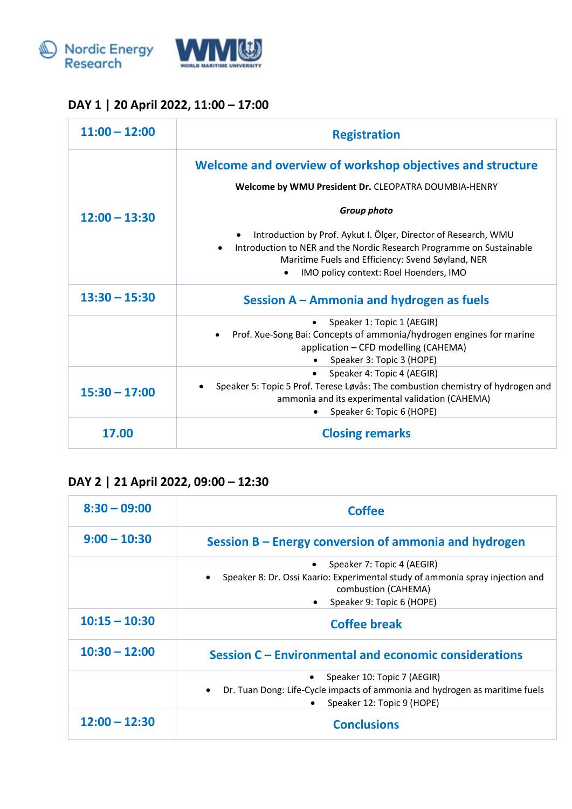



## **DAY 1 | 20 April 2022, 11:00 – 17:00**

| $11:00 - 12:00$ | <b>Registration</b>                                                                                                                                                                                                                    |
|-----------------|----------------------------------------------------------------------------------------------------------------------------------------------------------------------------------------------------------------------------------------|
| $12:00 - 13:30$ | Welcome and overview of workshop objectives and structure<br>Welcome by WMU President Dr. CLEOPATRA DOUMBIA-HENRY                                                                                                                      |
|                 | Group photo                                                                                                                                                                                                                            |
|                 | Introduction by Prof. Aykut I. Ölçer, Director of Research, WMU<br>Introduction to NER and the Nordic Research Programme on Sustainable<br>Maritime Fuels and Efficiency: Svend Søyland, NER<br>IMO policy context: Roel Hoenders, IMO |
| $13:30 - 15:30$ | Session A – Ammonia and hydrogen as fuels                                                                                                                                                                                              |
|                 | Speaker 1: Topic 1 (AEGIR)<br>Prof. Xue-Song Bai: Concepts of ammonia/hydrogen engines for marine<br>application - CFD modelling (CAHEMA)<br>Speaker 3: Topic 3 (HOPE)                                                                 |
| $15:30 - 17:00$ | Speaker 4: Topic 4 (AEGIR)<br>Speaker 5: Topic 5 Prof. Terese Løvås: The combustion chemistry of hydrogen and<br>ammonia and its experimental validation (CAHEMA)<br>Speaker 6: Topic 6 (HOPE)                                         |
| 17.00           | <b>Closing remarks</b>                                                                                                                                                                                                                 |

## **DAY 2 | 21 April 2022, 09:00 – 12:30**

| $8:30 - 09:00$  | <b>Coffee</b>                                                                                                                                                                   |
|-----------------|---------------------------------------------------------------------------------------------------------------------------------------------------------------------------------|
| $9:00 - 10:30$  | Session B – Energy conversion of ammonia and hydrogen                                                                                                                           |
|                 | Speaker 7: Topic 4 (AEGIR)<br>Speaker 8: Dr. Ossi Kaario: Experimental study of ammonia spray injection and<br>$\bullet$<br>combustion (CAHEMA)<br>Speaker 9: Topic 6 (HOPE)    |
| $10:15 - 10:30$ | <b>Coffee break</b>                                                                                                                                                             |
| $10:30 - 12:00$ | Session C - Environmental and economic considerations                                                                                                                           |
|                 | Speaker 10: Topic 7 (AEGIR)<br>$\bullet$<br>Dr. Tuan Dong: Life-Cycle impacts of ammonia and hydrogen as maritime fuels<br>$\bullet$<br>Speaker 12: Topic 9 (HOPE)<br>$\bullet$ |
| $12:00 - 12:30$ | <b>Conclusions</b>                                                                                                                                                              |